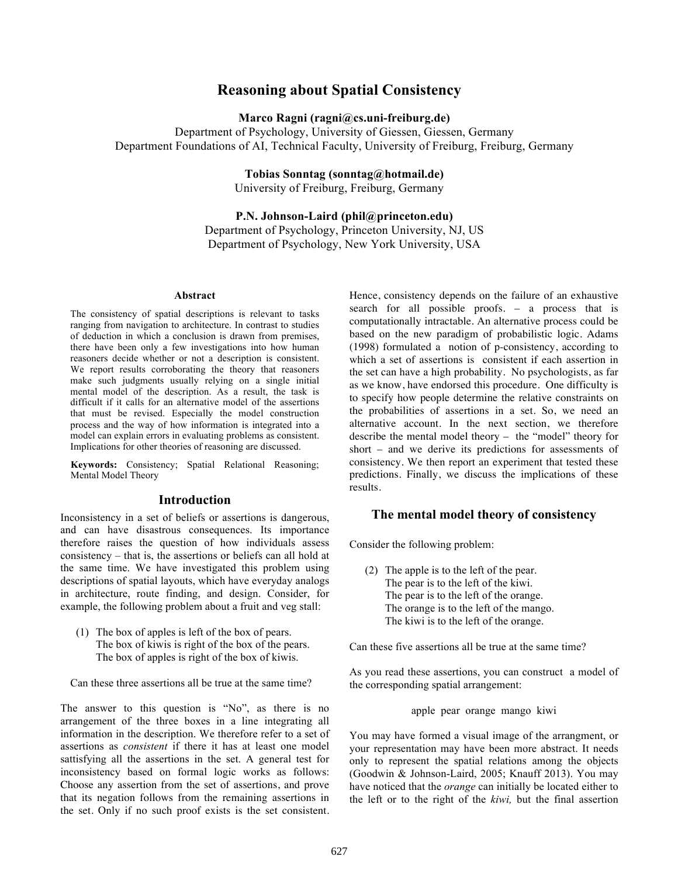# **Reasoning about Spatial Consistency**

**Marco Ragni (ragni@cs.uni-freiburg.de)** 

Department of Psychology, University of Giessen, Giessen, Germany Department Foundations of AI, Technical Faculty, University of Freiburg, Freiburg, Germany

**Tobias Sonntag (sonntag@hotmail.de)**

University of Freiburg, Freiburg, Germany

**P.N. Johnson-Laird (phil@princeton.edu)**  Department of Psychology, Princeton University, NJ, US Department of Psychology, New York University, USA

#### **Abstract**

The consistency of spatial descriptions is relevant to tasks ranging from navigation to architecture. In contrast to studies of deduction in which a conclusion is drawn from premises, there have been only a few investigations into how human reasoners decide whether or not a description is consistent. We report results corroborating the theory that reasoners make such judgments usually relying on a single initial mental model of the description. As a result, the task is difficult if it calls for an alternative model of the assertions that must be revised. Especially the model construction process and the way of how information is integrated into a model can explain errors in evaluating problems as consistent. Implications for other theories of reasoning are discussed.

**Keywords:** Consistency; Spatial Relational Reasoning; Mental Model Theory

## **Introduction**

Inconsistency in a set of beliefs or assertions is dangerous, and can have disastrous consequences. Its importance therefore raises the question of how individuals assess consistency – that is, the assertions or beliefs can all hold at the same time. We have investigated this problem using descriptions of spatial layouts, which have everyday analogs in architecture, route finding, and design. Consider, for example, the following problem about a fruit and veg stall:

(1) The box of apples is left of the box of pears. The box of kiwis is right of the box of the pears. The box of apples is right of the box of kiwis.

Can these three assertions all be true at the same time?

The answer to this question is "No", as there is no arrangement of the three boxes in a line integrating all information in the description. We therefore refer to a set of assertions as *consistent* if there it has at least one model sattisfying all the assertions in the set. A general test for inconsistency based on formal logic works as follows: Choose any assertion from the set of assertions, and prove that its negation follows from the remaining assertions in the set. Only if no such proof exists is the set consistent.

Hence, consistency depends on the failure of an exhaustive search for all possible proofs. – a process that is computationally intractable. An alternative process could be based on the new paradigm of probabilistic logic. Adams (1998) formulated a notion of p-consistency, according to which a set of assertions is consistent if each assertion in the set can have a high probability. No psychologists, as far as we know, have endorsed this procedure. One difficulty is to specify how people determine the relative constraints on the probabilities of assertions in a set. So, we need an alternative account. In the next section, we therefore describe the mental model theory – the "model" theory for short – and we derive its predictions for assessments of consistency. We then report an experiment that tested these predictions. Finally, we discuss the implications of these results.

## **The mental model theory of consistency**

Consider the following problem:

(2) The apple is to the left of the pear. The pear is to the left of the kiwi. The pear is to the left of the orange. The orange is to the left of the mango. The kiwi is to the left of the orange.

Can these five assertions all be true at the same time?

As you read these assertions, you can construct a model of the corresponding spatial arrangement:

apple pear orange mango kiwi

You may have formed a visual image of the arrangment, or your representation may have been more abstract. It needs only to represent the spatial relations among the objects (Goodwin & Johnson-Laird, 2005; Knauff 2013). You may have noticed that the *orange* can initially be located either to the left or to the right of the *kiwi,* but the final assertion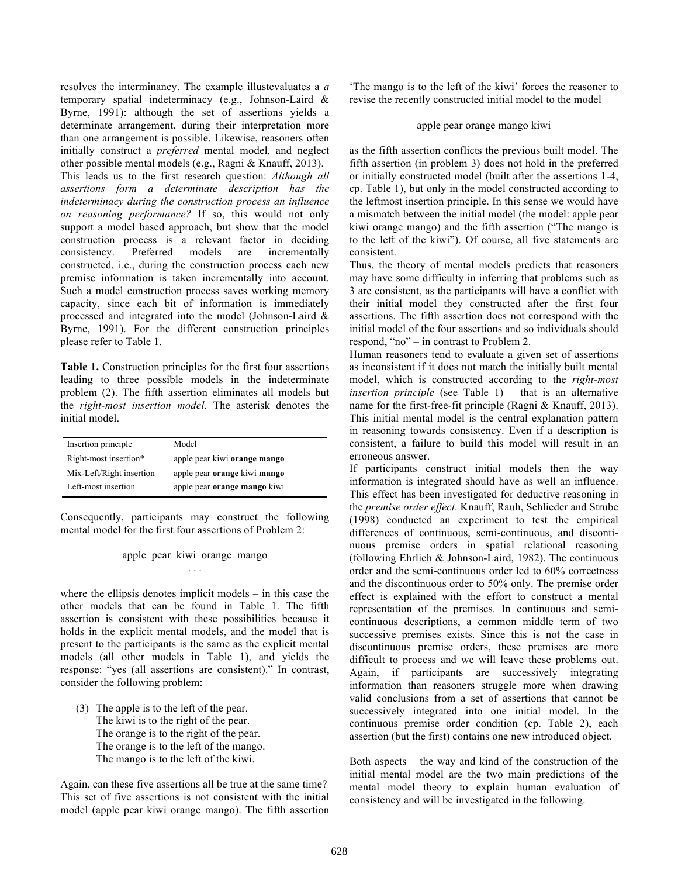resolves the interminancy. The example illustevaluates a *a*  temporary spatial indeterminacy (e.g., Johnson-Laird & Byrne, 1991): although the set of assertions yields a determinate arrangement, during their interpretation more than one arrangement is possible. Likewise, reasoners often initially construct a *preferred* mental model*,* and neglect other possible mental models (e.g., Ragni & Knauff, 2013). This leads us to the first research question: *Although all assertions form a determinate description has the indeterminacy during the construction process an influence on reasoning performance?* If so, this would not only support a model based approach, but show that the model construction process is a relevant factor in deciding consistency. Preferred models are incrementally constructed, i.e., during the construction process each new premise information is taken incrementally into account. Such a model construction process saves working memory capacity, since each bit of information is immediately processed and integrated into the model (Johnson-Laird & Byrne, 1991). For the different construction principles please refer to Table 1.

**Table 1.** Construction principles for the first four assertions leading to three possible models in the indeterminate problem (2). The fifth assertion eliminates all models but the *right-most insertion model*. The asterisk denotes the initial model.

| Insertion principle      | Model                               |
|--------------------------|-------------------------------------|
| Right-most insertion*    | apple pear kiwi orange mango        |
| Mix-Left/Right insertion | apple pear orange kiwi mango        |
| Left-most insertion      | apple pear <b>orange</b> mango kiwi |

Consequently, participants may construct the following mental model for the first four assertions of Problem 2:

> apple pear kiwi orange mango . . .

where the ellipsis denotes implicit models – in this case the other models that can be found in Table 1. The fifth assertion is consistent with these possibilities because it holds in the explicit mental models, and the model that is present to the participants is the same as the explicit mental models (all other models in Table 1), and yields the response: "yes (all assertions are consistent)." In contrast, consider the following problem:

(3) The apple is to the left of the pear. The kiwi is to the right of the pear. The orange is to the right of the pear. The orange is to the left of the mango. The mango is to the left of the kiwi.

Again, can these five assertions all be true at the same time? This set of five assertions is not consistent with the initial model (apple pear kiwi orange mango). The fifth assertion 'The mango is to the left of the kiwi' forces the reasoner to revise the recently constructed initial model to the model

#### apple pear orange mango kiwi

as the fifth assertion conflicts the previous built model. The fifth assertion (in problem 3) does not hold in the preferred or initially constructed model (built after the assertions 1-4, cp. Table 1), but only in the model constructed according to the leftmost insertion principle. In this sense we would have a mismatch between the initial model (the model: apple pear kiwi orange mango) and the fifth assertion ("The mango is to the left of the kiwi"). Of course, all five statements are consistent.

Thus, the theory of mental models predicts that reasoners may have some difficulty in inferring that problems such as 3 are consistent, as the participants will have a conflict with their initial model they constructed after the first four assertions. The fifth assertion does not correspond with the initial model of the four assertions and so individuals should respond, "no" – in contrast to Problem 2.

Human reasoners tend to evaluate a given set of assertions as inconsistent if it does not match the initially built mental model, which is constructed according to the *right-most insertion principle* (see Table 1) – that is an alternative name for the first-free-fit principle (Ragni & Knauff, 2013). This initial mental model is the central explanation pattern in reasoning towards consistency. Even if a description is consistent, a failure to build this model will result in an erroneous answer.

If participants construct initial models then the way information is integrated should have as well an influence. This effect has been investigated for deductive reasoning in the *premise order effect*. Knauff, Rauh, Schlieder and Strube (1998) conducted an experiment to test the empirical differences of continuous, semi-continuous, and discontinuous premise orders in spatial relational reasoning (following Ehrlich & Johnson-Laird, 1982). The continuous order and the semi-continuous order led to 60% correctness and the discontinuous order to 50% only. The premise order effect is explained with the effort to construct a mental representation of the premises. In continuous and semicontinuous descriptions, a common middle term of two successive premises exists. Since this is not the case in discontinuous premise orders, these premises are more difficult to process and we will leave these problems out. Again, if participants are successively integrating information than reasoners struggle more when drawing valid conclusions from a set of assertions that cannot be successively integrated into one initial model. In the continuous premise order condition (cp. Table 2), each assertion (but the first) contains one new introduced object.

Both aspects – the way and kind of the construction of the initial mental model are the two main predictions of the mental model theory to explain human evaluation of consistency and will be investigated in the following.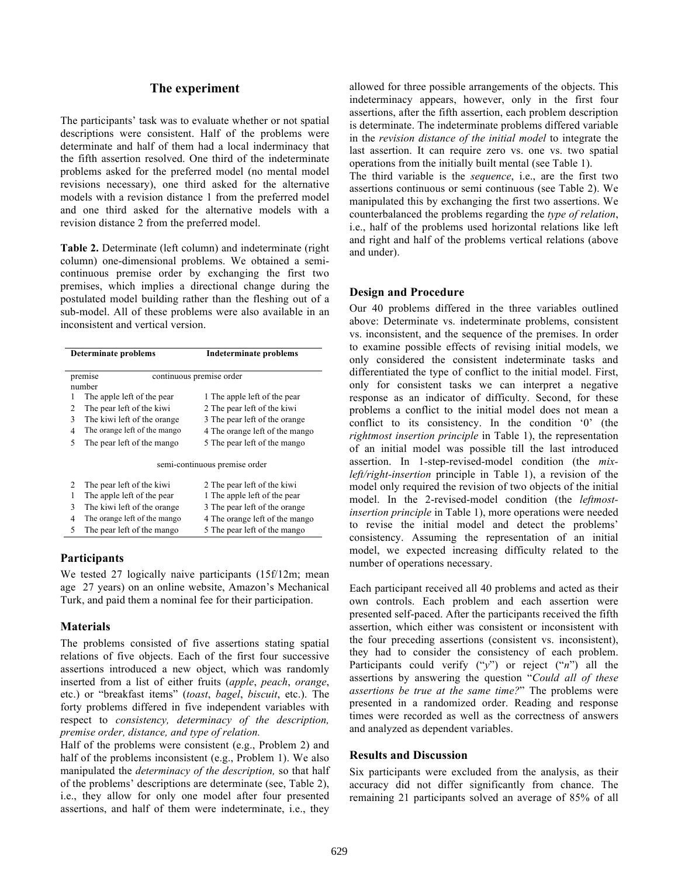## **The experiment**

The participants' task was to evaluate whether or not spatial descriptions were consistent. Half of the problems were determinate and half of them had a local inderminacy that the fifth assertion resolved. One third of the indeterminate problems asked for the preferred model (no mental model revisions necessary), one third asked for the alternative models with a revision distance 1 from the preferred model and one third asked for the alternative models with a revision distance 2 from the preferred model.

**Table 2.** Determinate (left column) and indeterminate (right column) one-dimensional problems. We obtained a semicontinuous premise order by exchanging the first two premises, which implies a directional change during the postulated model building rather than the fleshing out of a sub-model. All of these problems were also available in an inconsistent and vertical version.

|                                     | <b>Determinate problems</b>  | <b>Indeterminate problems</b>  |  |
|-------------------------------------|------------------------------|--------------------------------|--|
| continuous premise order<br>premise |                              |                                |  |
|                                     | number                       |                                |  |
|                                     | The apple left of the pear   | 1 The apple left of the pear   |  |
| 2                                   | The pear left of the kiwi    | 2 The pear left of the kiwi    |  |
| 3                                   | The kiwi left of the orange. | 3 The pear left of the orange  |  |
| 4                                   | The orange left of the mango | 4 The orange left of the mango |  |
| 5                                   | The pear left of the mango   | 5 The pear left of the mango   |  |
| semi-continuous premise order       |                              |                                |  |
| 2                                   | The pear left of the kiwi    | 2 The pear left of the kiwi    |  |
| 1                                   | The apple left of the pear   | 1 The apple left of the pear   |  |
| 3                                   | The kiwi left of the orange. | 3 The pear left of the orange  |  |
| 4                                   | The orange left of the mango | 4 The orange left of the mango |  |

#### **Participants**

We tested 27 logically naive participants (15f/12m; mean age 27 years) on an online website, Amazon's Mechanical Turk, and paid them a nominal fee for their participation.

5 The pear left of the mango 5 The pear left of the mango

#### **Materials**

The problems consisted of five assertions stating spatial relations of five objects. Each of the first four successive assertions introduced a new object, which was randomly inserted from a list of either fruits (*apple*, *peach*, *orange*, etc.) or "breakfast items" (*toast*, *bagel*, *biscuit*, etc.). The forty problems differed in five independent variables with respect to *consistency, determinacy of the description, premise order, distance, and type of relation.* 

Half of the problems were consistent (e.g., Problem 2) and half of the problems inconsistent (e.g., Problem 1). We also manipulated the *determinacy of the description,* so that half of the problems' descriptions are determinate (see, Table 2), i.e., they allow for only one model after four presented assertions, and half of them were indeterminate, i.e., they

allowed for three possible arrangements of the objects. This indeterminacy appears, however, only in the first four assertions, after the fifth assertion, each problem description is determinate. The indeterminate problems differed variable in the *revision distance of the initial model* to integrate the last assertion. It can require zero vs. one vs. two spatial operations from the initially built mental (see Table 1).

The third variable is the *sequence*, i.e., are the first two assertions continuous or semi continuous (see Table 2). We manipulated this by exchanging the first two assertions. We counterbalanced the problems regarding the *type of relation*, i.e., half of the problems used horizontal relations like left and right and half of the problems vertical relations (above and under).

## **Design and Procedure**

Our 40 problems differed in the three variables outlined above: Determinate vs. indeterminate problems, consistent vs. inconsistent, and the sequence of the premises. In order to examine possible effects of revising initial models, we only considered the consistent indeterminate tasks and differentiated the type of conflict to the initial model. First, only for consistent tasks we can interpret a negative response as an indicator of difficulty. Second, for these problems a conflict to the initial model does not mean a conflict to its consistency. In the condition '0' (the *rightmost insertion principle* in Table 1), the representation of an initial model was possible till the last introduced assertion. In 1-step-revised-model condition (the *mixleft/right-insertion* principle in Table 1), a revision of the model only required the revision of two objects of the initial model. In the 2-revised-model condition (the *leftmostinsertion principle* in Table 1), more operations were needed to revise the initial model and detect the problems' consistency. Assuming the representation of an initial model, we expected increasing difficulty related to the number of operations necessary.

Each participant received all 40 problems and acted as their own controls. Each problem and each assertion were presented self-paced. After the participants received the fifth assertion, which either was consistent or inconsistent with the four preceding assertions (consistent vs. inconsistent), they had to consider the consistency of each problem. Participants could verify ("*y*") or reject ("*n*") all the assertions by answering the question "*Could all of these assertions be true at the same time?*" The problems were presented in a randomized order. Reading and response times were recorded as well as the correctness of answers and analyzed as dependent variables.

## **Results and Discussion**

Six participants were excluded from the analysis, as their accuracy did not differ significantly from chance. The remaining 21 participants solved an average of 85% of all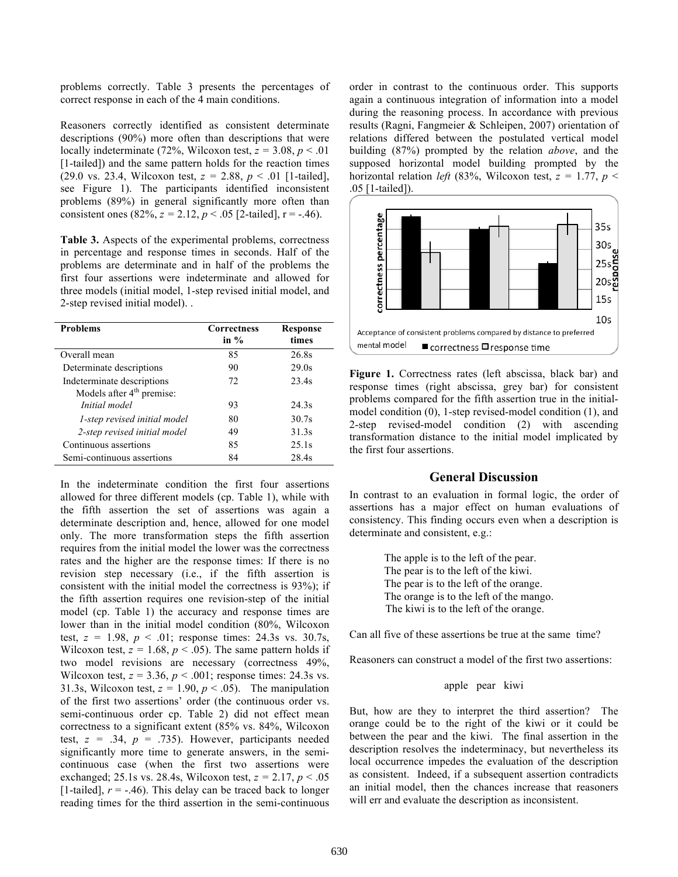problems correctly. Table 3 presents the percentages of correct response in each of the 4 main conditions.

Reasoners correctly identified as consistent determinate descriptions (90%) more often than descriptions that were locally indeterminate (72%, Wilcoxon test,  $z = 3.08$ ,  $p < .01$ ) [1-tailed]) and the same pattern holds for the reaction times (29.0 vs. 23.4, Wilcoxon test, *z =* 2.88, *p* < .01 [1-tailed], see Figure 1). The participants identified inconsistent problems (89%) in general significantly more often than consistent ones  $(82\%, z = 2.12, p < .05$  [2-tailed], r = -.46).

**Table 3.** Aspects of the experimental problems, correctness in percentage and response times in seconds. Half of the problems are determinate and in half of the problems the first four assertions were indeterminate and allowed for three models (initial model, 1-step revised initial model, and 2-step revised initial model). .

| <b>Problems</b>                       | <b>Correctness</b><br>in $%$ | Response<br>times |
|---------------------------------------|------------------------------|-------------------|
| Overall mean                          | 85                           | 26.8s             |
| Determinate descriptions              | 90                           | 29.0s             |
| Indeterminate descriptions            | 72                           | 23.4s             |
| Models after 4 <sup>th</sup> premise: |                              |                   |
| Initial model                         | 93                           | 24.3s             |
| 1-step revised initial model          | 80                           | 30.7s             |
| 2-step revised initial model          | 49                           | 31.3s             |
| Continuous assertions                 | 85                           | 25.1s             |
| Semi-continuous assertions            | 84                           | 28.4s             |

In the indeterminate condition the first four assertions allowed for three different models (cp. Table 1), while with the fifth assertion the set of assertions was again a determinate description and, hence, allowed for one model only. The more transformation steps the fifth assertion requires from the initial model the lower was the correctness rates and the higher are the response times: If there is no revision step necessary (i.e., if the fifth assertion is consistent with the initial model the correctness is 93%); if the fifth assertion requires one revision-step of the initial model (cp. Table 1) the accuracy and response times are lower than in the initial model condition (80%, Wilcoxon test,  $z = 1.98$ ,  $p < .01$ ; response times: 24.3s vs. 30.7s, Wilcoxon test,  $z = 1.68$ ,  $p < .05$ ). The same pattern holds if two model revisions are necessary (correctness 49%, Wilcoxon test,  $z = 3.36$ ,  $p < .001$ ; response times: 24.3s vs. 31.3s, Wilcoxon test,  $z = 1.90$ ,  $p < .05$ ). The manipulation of the first two assertions' order (the continuous order vs. semi-continuous order cp. Table 2) did not effect mean correctness to a significant extent (85% vs. 84%, Wilcoxon test,  $z = .34$ ,  $p = .735$ ). However, participants needed significantly more time to generate answers, in the semicontinuous case (when the first two assertions were exchanged; 25.1s vs. 28.4s, Wilcoxon test, *z =* 2.17, *p* < .05 [1-tailed],  $r = -.46$ ). This delay can be traced back to longer reading times for the third assertion in the semi-continuous

order in contrast to the continuous order. This supports again a continuous integration of information into a model during the reasoning process. In accordance with previous results (Ragni, Fangmeier & Schleipen, 2007) orientation of relations differed between the postulated vertical model building (87%) prompted by the relation *above*, and the supposed horizontal model building prompted by the horizontal relation *left* (83%, Wilcoxon test,  $z = 1.77$ ,  $p <$ .05 [1-tailed]).



**Figure 1.** Correctness rates (left abscissa, black bar) and response times (right abscissa, grey bar) for consistent problems compared for the fifth assertion true in the initialmodel condition (0), 1-step revised-model condition (1), and 2-step revised-model condition (2) with ascending transformation distance to the initial model implicated by the first four assertions.

## **General Discussion**

In contrast to an evaluation in formal logic, the order of assertions has a major effect on human evaluations of consistency. This finding occurs even when a description is determinate and consistent, e.g.:

> The apple is to the left of the pear. The pear is to the left of the kiwi. The pear is to the left of the orange. The orange is to the left of the mango. The kiwi is to the left of the orange.

Can all five of these assertions be true at the same time?

Reasoners can construct a model of the first two assertions:

## apple pear kiwi

But, how are they to interpret the third assertion? The orange could be to the right of the kiwi or it could be between the pear and the kiwi. The final assertion in the description resolves the indeterminacy, but nevertheless its local occurrence impedes the evaluation of the description as consistent. Indeed, if a subsequent assertion contradicts an initial model, then the chances increase that reasoners will err and evaluate the description as inconsistent.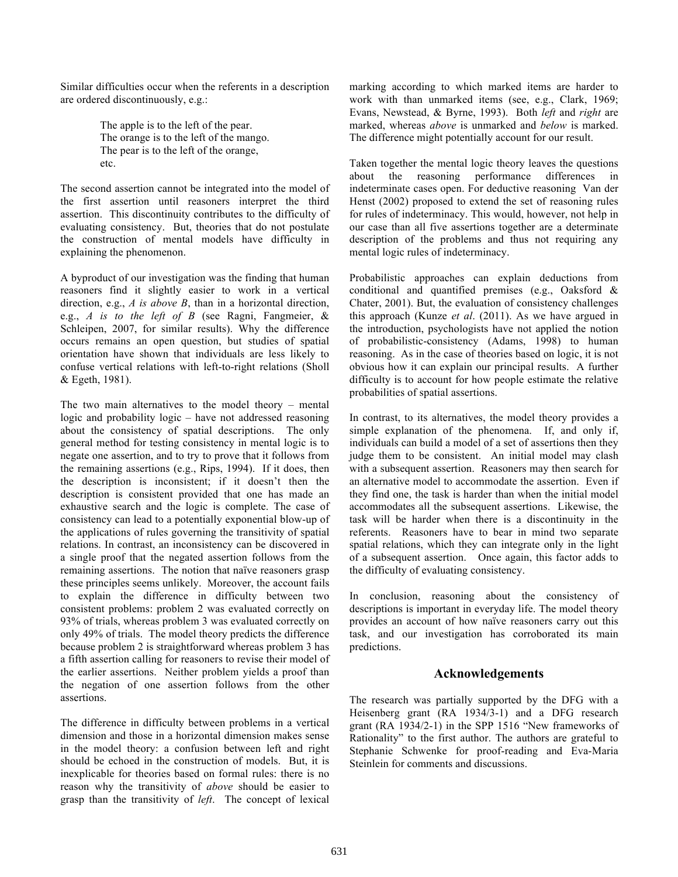Similar difficulties occur when the referents in a description are ordered discontinuously, e.g.:

> The apple is to the left of the pear. The orange is to the left of the mango. The pear is to the left of the orange, etc.

The second assertion cannot be integrated into the model of the first assertion until reasoners interpret the third assertion. This discontinuity contributes to the difficulty of evaluating consistency. But, theories that do not postulate the construction of mental models have difficulty in explaining the phenomenon.

A byproduct of our investigation was the finding that human reasoners find it slightly easier to work in a vertical direction, e.g., *A is above B*, than in a horizontal direction, e.g., *A is to the left of B* (see Ragni, Fangmeier, & Schleipen, 2007, for similar results). Why the difference occurs remains an open question, but studies of spatial orientation have shown that individuals are less likely to confuse vertical relations with left-to-right relations (Sholl & Egeth, 1981).

The two main alternatives to the model theory – mental logic and probability logic – have not addressed reasoning about the consistency of spatial descriptions. The only general method for testing consistency in mental logic is to negate one assertion, and to try to prove that it follows from the remaining assertions (e.g., Rips, 1994). If it does, then the description is inconsistent; if it doesn't then the description is consistent provided that one has made an exhaustive search and the logic is complete. The case of consistency can lead to a potentially exponential blow-up of the applications of rules governing the transitivity of spatial relations. In contrast, an inconsistency can be discovered in a single proof that the negated assertion follows from the remaining assertions. The notion that naïve reasoners grasp these principles seems unlikely. Moreover, the account fails to explain the difference in difficulty between two consistent problems: problem 2 was evaluated correctly on 93% of trials, whereas problem 3 was evaluated correctly on only 49% of trials. The model theory predicts the difference because problem 2 is straightforward whereas problem 3 has a fifth assertion calling for reasoners to revise their model of the earlier assertions. Neither problem yields a proof than the negation of one assertion follows from the other assertions.

The difference in difficulty between problems in a vertical dimension and those in a horizontal dimension makes sense in the model theory: a confusion between left and right should be echoed in the construction of models. But, it is inexplicable for theories based on formal rules: there is no reason why the transitivity of *above* should be easier to grasp than the transitivity of *left*. The concept of lexical marking according to which marked items are harder to work with than unmarked items (see, e.g., Clark, 1969; Evans, Newstead, & Byrne, 1993). Both *left* and *right* are marked, whereas *above* is unmarked and *below* is marked. The difference might potentially account for our result.

Taken together the mental logic theory leaves the questions about the reasoning performance differences in indeterminate cases open. For deductive reasoning Van der Henst (2002) proposed to extend the set of reasoning rules for rules of indeterminacy. This would, however, not help in our case than all five assertions together are a determinate description of the problems and thus not requiring any mental logic rules of indeterminacy.

Probabilistic approaches can explain deductions from conditional and quantified premises (e.g., Oaksford & Chater, 2001). But, the evaluation of consistency challenges this approach (Kunze *et al*. (2011). As we have argued in the introduction, psychologists have not applied the notion of probabilistic-consistency (Adams, 1998) to human reasoning. As in the case of theories based on logic, it is not obvious how it can explain our principal results. A further difficulty is to account for how people estimate the relative probabilities of spatial assertions.

In contrast, to its alternatives, the model theory provides a simple explanation of the phenomena. If, and only if, individuals can build a model of a set of assertions then they judge them to be consistent. An initial model may clash with a subsequent assertion. Reasoners may then search for an alternative model to accommodate the assertion. Even if they find one, the task is harder than when the initial model accommodates all the subsequent assertions. Likewise, the task will be harder when there is a discontinuity in the referents. Reasoners have to bear in mind two separate spatial relations, which they can integrate only in the light of a subsequent assertion. Once again, this factor adds to the difficulty of evaluating consistency.

In conclusion, reasoning about the consistency of descriptions is important in everyday life. The model theory provides an account of how naïve reasoners carry out this task, and our investigation has corroborated its main predictions.

#### **Acknowledgements**

The research was partially supported by the DFG with a Heisenberg grant (RA 1934/3-1) and a DFG research grant (RA 1934/2-1) in the SPP 1516 "New frameworks of Rationality" to the first author. The authors are grateful to Stephanie Schwenke for proof-reading and Eva-Maria Steinlein for comments and discussions.